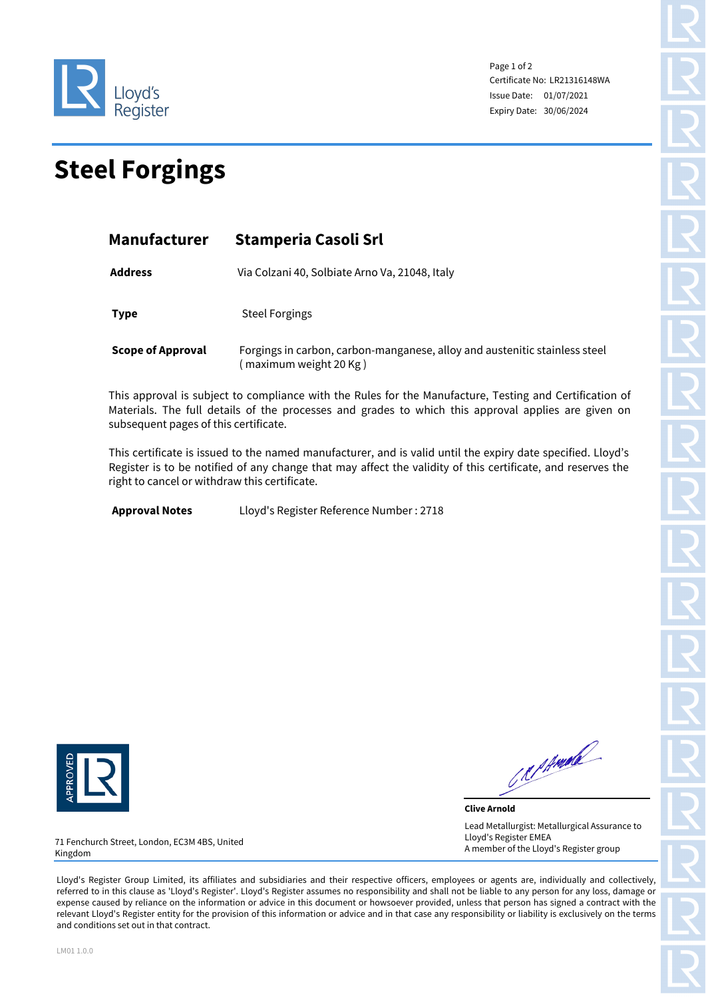

Page 1 of 2 Certificate No: LR21316148WA Issue Date: 01/07/2021 Expiry Date: 30/06/2024

## **Steel Forgings**

| Manufacturer             | <b>Stamperia Casoli Srl</b><br>Via Colzani 40, Solbiate Arno Va, 21048, Italy                         |  |  |
|--------------------------|-------------------------------------------------------------------------------------------------------|--|--|
| <b>Address</b>           |                                                                                                       |  |  |
| <b>Type</b>              | <b>Steel Forgings</b>                                                                                 |  |  |
| <b>Scope of Approval</b> | Forgings in carbon, carbon-manganese, alloy and austenitic stainless steel<br>(maximum weight 20 Kg ) |  |  |

This approval is subject to compliance with the Rules for the Manufacture, Testing and Certification of Materials. The full details of the processes and grades to which this approval applies are given on subsequent pages of this certificate.

This certificate is issued to the named manufacturer, and is valid until the expiry date specified. Lloyd's Register is to be notified of any change that may affect the validity of this certificate, and reserves the right to cancel or withdraw this certificate.

**Approval Notes** Lloyd's Register Reference Number : 2718



Reprinted

**Clive Arnold** Lead Metallurgist: Metallurgical Assurance to Lloyd's Register EMEA A member of the Lloyd's Register group

71 Fenchurch Street, London, EC3M 4BS, United Kingdom

Lloyd's Register Group Limited, its affiliates and subsidiaries and their respective officers, employees or agents are, individually and collectively, referred to in this clause as 'Lloyd's Register'. Lloyd's Register assumes no responsibility and shall not be liable to any person for any loss, damage or expense caused by reliance on the information or advice in this document or howsoever provided, unless that person has signed a contract with the relevant Lloyd's Register entity for the provision of this information or advice and in that case any responsibility or liability is exclusively on the terms and conditions set out in that contract.